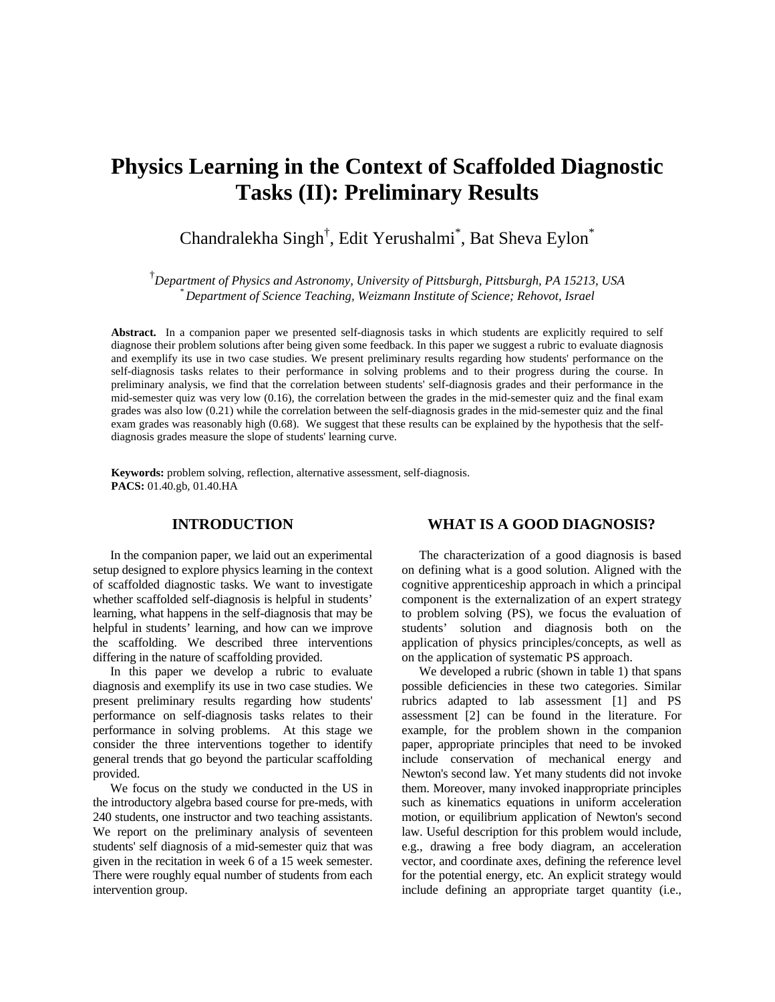# **Physics Learning in the Context of Scaffolded Diagnostic Tasks (II): Preliminary Results**

Chandralekha Singh<sup>†</sup>, Edit Yerushalmi<sup>\*</sup>, Bat Sheva Eylon<sup>\*</sup>

† *Department of Physics and Astronomy, University of Pittsburgh, Pittsburgh, PA 15213, USA \* Department of Science Teaching, Weizmann Institute of Science; Rehovot, Israel* 

**Abstract.** In a companion paper we presented self-diagnosis tasks in which students are explicitly required to self diagnose their problem solutions after being given some feedback. In this paper we suggest a rubric to evaluate diagnosis and exemplify its use in two case studies. We present preliminary results regarding how students' performance on the self-diagnosis tasks relates to their performance in solving problems and to their progress during the course. In preliminary analysis, we find that the correlation between students' self-diagnosis grades and their performance in the mid-semester quiz was very low (0.16), the correlation between the grades in the mid-semester quiz and the final exam grades was also low (0.21) while the correlation between the self-diagnosis grades in the mid-semester quiz and the final exam grades was reasonably high (0.68). We suggest that these results can be explained by the hypothesis that the selfdiagnosis grades measure the slope of students' learning curve.

**Keywords:** problem solving, reflection, alternative assessment, self-diagnosis. **PACS:** 01.40.gb, 01.40.HA

# **INTRODUCTION**

In the companion paper, we laid out an experimental setup designed to explore physics learning in the context of scaffolded diagnostic tasks. We want to investigate whether scaffolded self-diagnosis is helpful in students' learning, what happens in the self-diagnosis that may be helpful in students' learning, and how can we improve the scaffolding. We described three interventions differing in the nature of scaffolding provided.

In this paper we develop a rubric to evaluate diagnosis and exemplify its use in two case studies. We present preliminary results regarding how students' performance on self-diagnosis tasks relates to their performance in solving problems. At this stage we consider the three interventions together to identify general trends that go beyond the particular scaffolding provided.

We focus on the study we conducted in the US in the introductory algebra based course for pre-meds, with 240 students, one instructor and two teaching assistants. We report on the preliminary analysis of seventeen students' self diagnosis of a mid-semester quiz that was given in the recitation in week 6 of a 15 week semester. There were roughly equal number of students from each intervention group.

# **WHAT IS A GOOD DIAGNOSIS?**

The characterization of a good diagnosis is based on defining what is a good solution. Aligned with the cognitive apprenticeship approach in which a principal component is the externalization of an expert strategy to problem solving (PS), we focus the evaluation of students' solution and diagnosis both on the application of physics principles/concepts, as well as on the application of systematic PS approach.

We developed a rubric (shown in table 1) that spans possible deficiencies in these two categories. Similar rubrics adapted to lab assessment [1] and PS assessment [2] can be found in the literature. For example, for the problem shown in the companion paper, appropriate principles that need to be invoked include conservation of mechanical energy and Newton's second law. Yet many students did not invoke them. Moreover, many invoked inappropriate principles such as kinematics equations in uniform acceleration motion, or equilibrium application of Newton's second law. Useful description for this problem would include, e.g., drawing a free body diagram, an acceleration vector, and coordinate axes, defining the reference level for the potential energy, etc. An explicit strategy would include defining an appropriate target quantity (i.e.,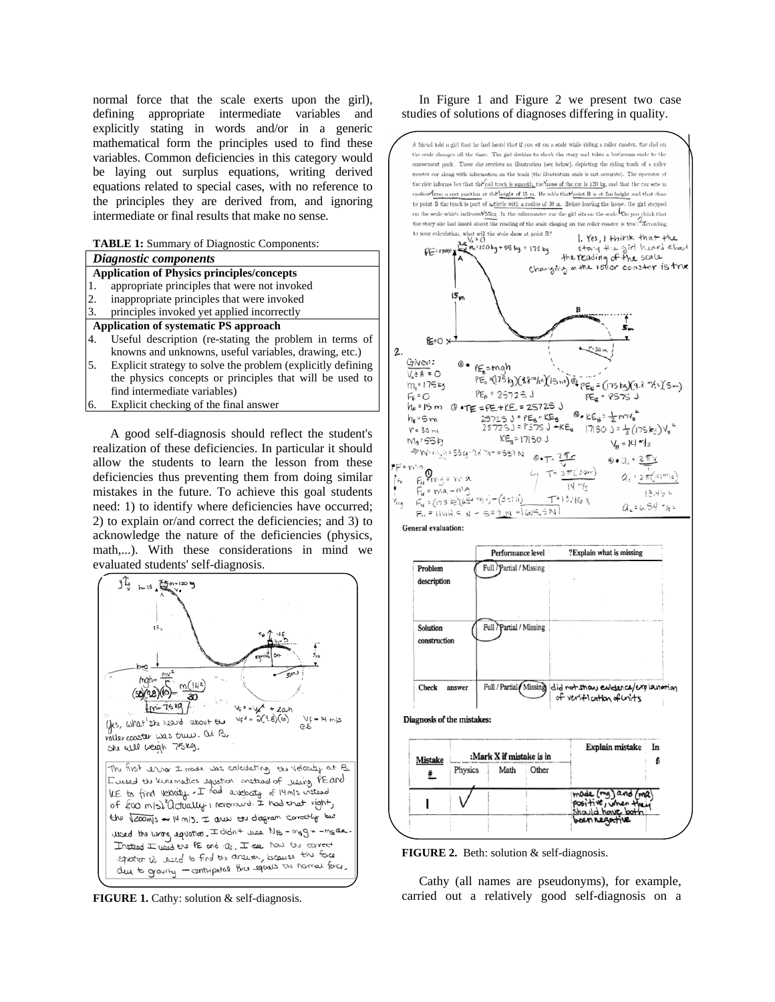normal force that the scale exerts upon the girl), defining appropriate intermediate variables and explicitly stating in words and/or in a generic mathematical form the principles used to find these variables. Common deficiencies in this category would be laying out surplus equations, writing derived equations related to special cases, with no reference to the principles they are derived from, and ignoring intermediate or final results that make no sense.

**TABLE 1:** Summary of Diagnostic Components:

| Diagnostic components                 |                                                             |  |  |  |
|---------------------------------------|-------------------------------------------------------------|--|--|--|
|                                       | <b>Application of Physics principles/concepts</b>           |  |  |  |
| 1.                                    | appropriate principles that were not invoked                |  |  |  |
| 2.                                    | inappropriate principles that were invoked                  |  |  |  |
| 3.                                    | principles invoked yet applied incorrectly                  |  |  |  |
| Application of systematic PS approach |                                                             |  |  |  |
| 4.                                    | Useful description (re-stating the problem in terms of      |  |  |  |
|                                       | knowns and unknowns, useful variables, drawing, etc.)       |  |  |  |
| 5.                                    | Explicit strategy to solve the problem (explicitly defining |  |  |  |
|                                       | the physics concepts or principles that will be used to     |  |  |  |
|                                       | find intermediate variables)                                |  |  |  |
| 6.                                    | Explicit checking of the final answer                       |  |  |  |

A good self-diagnosis should reflect the student's realization of these deficiencies. In particular it should allow the students to learn the lesson from these deficiencies thus preventing them from doing similar mistakes in the future. To achieve this goal students need: 1) to identify where deficiencies have occurred; 2) to explain or/and correct the deficiencies; and 3) to acknowledge the nature of the deficiencies (physics, math,...). With these considerations in mind we evaluated students' self-diagnosis.



**FIGURE 1.** Cathy: solution & self-diagnosis.

In Figure 1 and Figure 2 we present two case studies of solutions of diagnoses differing in quality.



**FIGURE 2.** Beth: solution & self-diagnosis.

Cathy (all names are pseudonyms), for example, carried out a relatively good self-diagnosis on a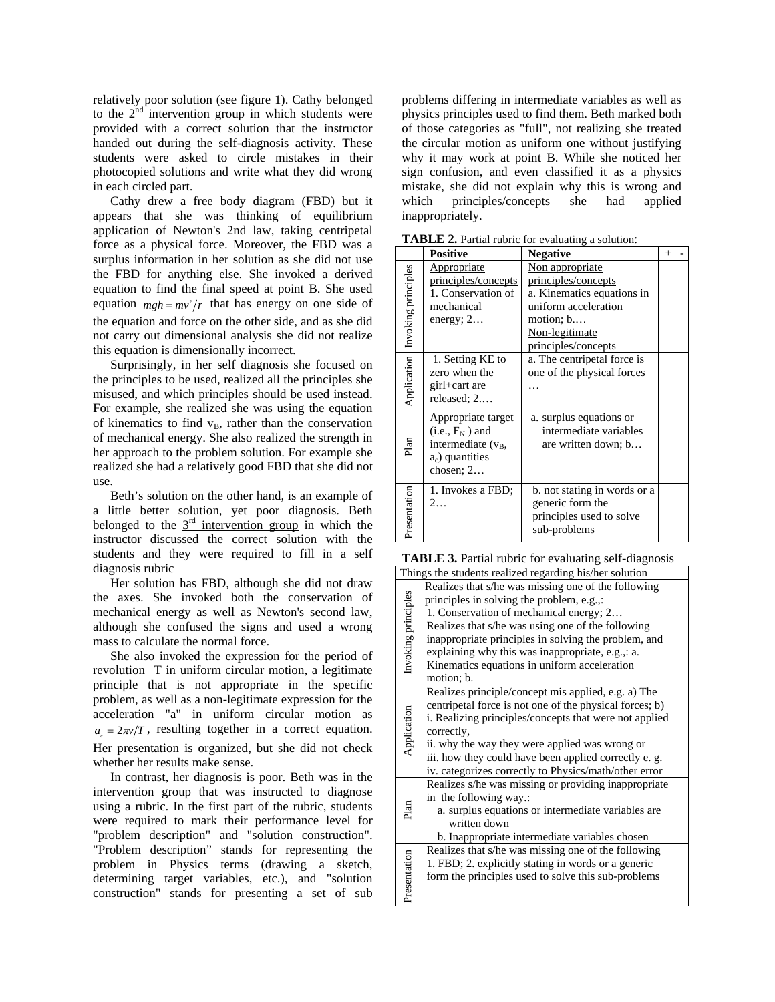relatively poor solution (see figure 1). Cathy belonged to the  $2<sup>nd</sup>$  intervention group in which students were provided with a correct solution that the instructor handed out during the self-diagnosis activity. These students were asked to circle mistakes in their photocopied solutions and write what they did wrong in each circled part.

Cathy drew a free body diagram (FBD) but it appears that she was thinking of equilibrium application of Newton's 2nd law, taking centripetal force as a physical force. Moreover, the FBD was a surplus information in her solution as she did not use the FBD for anything else. She invoked a derived equation to find the final speed at point B. She used equation  $mgh = mv^2/r$  that has energy on one side of the equation and force on the other side, and as she did not carry out dimensional analysis she did not realize this equation is dimensionally incorrect.

Surprisingly, in her self diagnosis she focused on the principles to be used, realized all the principles she misused, and which principles should be used instead. For example, she realized she was using the equation of kinematics to find  $v_B$ , rather than the conservation of mechanical energy. She also realized the strength in her approach to the problem solution. For example she realized she had a relatively good FBD that she did not use.

Beth's solution on the other hand, is an example of a little better solution, yet poor diagnosis. Beth belonged to the  $3<sup>rd</sup>$  intervention group in which the instructor discussed the correct solution with the students and they were required to fill in a self diagnosis rubric

Her solution has FBD, although she did not draw the axes. She invoked both the conservation of mechanical energy as well as Newton's second law, although she confused the signs and used a wrong mass to calculate the normal force.

She also invoked the expression for the period of revolution T in uniform circular motion, a legitimate principle that is not appropriate in the specific problem, as well as a non-legitimate expression for the acceleration "a" in uniform circular motion as  $a = 2\pi v/T$ , resulting together in a correct equation. Her presentation is organized, but she did not check whether her results make sense.

In contrast, her diagnosis is poor. Beth was in the intervention group that was instructed to diagnose using a rubric. In the first part of the rubric, students were required to mark their performance level for "problem description" and "solution construction". "Problem description" stands for representing the problem in Physics terms (drawing a sketch, determining target variables, etc.), and "solution construction" stands for presenting a set of sub problems differing in intermediate variables as well as physics principles used to find them. Beth marked both of those categories as "full", not realizing she treated the circular motion as uniform one without justifying why it may work at point B. While she noticed her sign confusion, and even classified it as a physics mistake, she did not explain why this is wrong and which principles/concepts she had applied inappropriately.

| <b>TADLE 2.</b> Family function evaluating a solution. |                                                                                                        |                                                                                                                                                    |   |  |  |  |  |
|--------------------------------------------------------|--------------------------------------------------------------------------------------------------------|----------------------------------------------------------------------------------------------------------------------------------------------------|---|--|--|--|--|
|                                                        | <b>Positive</b>                                                                                        | <b>Negative</b>                                                                                                                                    | ٠ |  |  |  |  |
| Application Invoking principles                        | Appropriate<br>principles/concepts<br>1. Conservation of<br>mechanical<br>energy; $2$                  | Non appropriate<br>principles/concepts<br>a. Kinematics equations in<br>uniform acceleration<br>motion; b<br>Non-legitimate<br>principles/concepts |   |  |  |  |  |
|                                                        | 1. Setting KE to<br>zero when the<br>girl+cart are<br>released; 2                                      | a. The centripetal force is<br>one of the physical forces                                                                                          |   |  |  |  |  |
| Plan                                                   | Appropriate target<br>$(i.e., FN)$ and<br>intermediate $(v_{B}$ ,<br>$a_c$ ) quantities<br>chosen; $2$ | a. surplus equations or<br>intermediate variables<br>are written down; b                                                                           |   |  |  |  |  |
| Presentation                                           | 1. Invokes a FBD;<br>2.                                                                                | b. not stating in words or a<br>generic form the<br>principles used to solve<br>sub-problems                                                       |   |  |  |  |  |

**TABLE 2.** Partial rubric for evaluating a solution:

**TABLE 3.** Partial rubric for evaluating self-diagnosis

| $\alpha$ and $\beta$ , and the result of $\alpha$ and $\alpha$ and $\alpha$ and $\alpha$ and $\beta$ |                                                                                                                                                                                                                                                                                                                                                                            |  |  |  |
|------------------------------------------------------------------------------------------------------|----------------------------------------------------------------------------------------------------------------------------------------------------------------------------------------------------------------------------------------------------------------------------------------------------------------------------------------------------------------------------|--|--|--|
|                                                                                                      | Things the students realized regarding his/her solution                                                                                                                                                                                                                                                                                                                    |  |  |  |
| Invoking principles                                                                                  | Realizes that s/he was missing one of the following<br>principles in solving the problem, e.g.,:<br>1. Conservation of mechanical energy; 2<br>Realizes that s/he was using one of the following<br>inappropriate principles in solving the problem, and<br>explaining why this was inappropriate, e.g.,: a.<br>Kinematics equations in uniform acceleration<br>motion; b. |  |  |  |
| Application                                                                                          | Realizes principle/concept mis applied, e.g. a) The<br>centripetal force is not one of the physical forces; b)<br>i. Realizing principles/concepts that were not applied<br>correctly,<br>ii. why the way they were applied was wrong or<br>iii. how they could have been applied correctly e.g.<br>iv. categorizes correctly to Physics/math/other error                  |  |  |  |
| Plan                                                                                                 | Realizes s/he was missing or providing inappropriate<br>in the following way.:<br>a. surplus equations or intermediate variables are<br>written down<br>b. Inappropriate intermediate variables chosen                                                                                                                                                                     |  |  |  |
| Presentation                                                                                         | Realizes that s/he was missing one of the following<br>1. FBD; 2. explicitly stating in words or a generic<br>form the principles used to solve this sub-problems                                                                                                                                                                                                          |  |  |  |